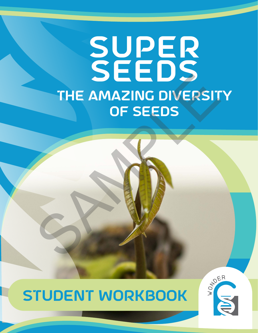# 46 SUPER seeds the amazing diversity of seeds THE AMAZING DIVERSIT

## STUDENT WORKBOOK



**ACTIVITY 1 | SUPER SEEDS | 1**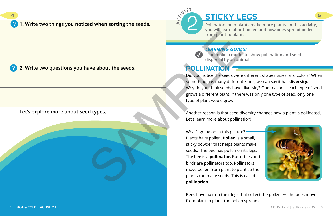#### **1. Write two things you noticed when sorting the seeds.**

**2. Write two questions you have about the seeds.**

**Let's explore more about seed types.**



Did you notice the seeds were different shapes, sizes, and colors? When something has many different kinds, we can say it has **diversity.**  Why do you think seeds have diversity? One reason is each type of seed grows a different plant. If there was only one type of seed, only one type of plant would grow.

Another reason is that seed diversity changes how a plant is pollinated. Let's learn more about pollination!

What's going on in this picture? Plants have pollen. **Pollen** is a small, sticky powder that helps plants make seeds. The bee has pollen on its legs. The bee is a **pollinator.** Butterflies and birds are pollinators too. Pollinators move pollen from plant to plant so the plants can make seeds. This is called **pollination.** From plant to plant.<br>
From plant to plant.<br>
The magnetic plant.<br>
Subsets and the seeds.<br>
Subset and the seeds were<br>
Something has many different than the seeds were<br>
something has many different than the seeds were<br>
someth

4 STICKY LEGS 5 **from plant to plant.**

> Bees have hair on their legs that collect the pollen. As the bees move from plant to plant, the pollen spreads.

**A**

2

**CT<sup>I</sup>VIT<sup>Y</sup>**

**Pollinators help plants make more plants. In this activity, you will learn about pollen and how bees spread pollen** 



*LEARNING GOALS:* 

**I can make a model to show pollination and seed dispersal by an animal.**

## POLLINATION -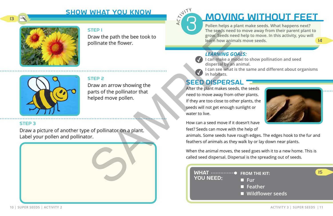**10 | SUPER SEEDS | ACTIVITY 2 ACTIVITY 3 | SUPER SEEDS | 11**

# SHOW WHAT YOU KNOW MOVING WITHOUT FEET

#### step 1

Draw the path the bee took to pollinate the flower.

#### STEP 2

Draw an arrow showing the parts of the pollinator that helped move pollen.

#### STEP 3

Draw a picture of another type of pollinator on a plant. Label your pollen and pollinator.

STEP 2<br>
DIRECTION TO Seeds need to learn how animals reserved to the spow seeds need to learn how animals represent to the political text of the political text of the political text of the political text of the political t

## **SEED DISPERSAL**



**Pollen helps a plant make seeds. What happens next? The seeds need to move away from their parent plant to grow. Seeds need help to move. In this activity, you will learn how animals move seeds.**

### *LEARNING GOALS:*

- **I can make a model to show pollination and seed**
- **I can see what is the same and different about organisms**



- **Fur**
- **Feather**
- **Wildflower seeds**

**dispersal by an animal. in habitats.**



After the plant makes seeds, the seeds need to move away from other plants. If they are too close to other plants, the seeds will not get enough sunlight or water to live.

How can a seed move if it doesn't have feet? Seeds can move with the help of feathers of animals as they walk by or lay down near plants.

- animals. Some seeds have rough edges. The edges hook to the fur and
- When the animal moves, the seed goes with it to a new home. This is

called seed dispersal. Dispersal is the spreading out of seeds.



#### **FROM THE KIT:**





14

15